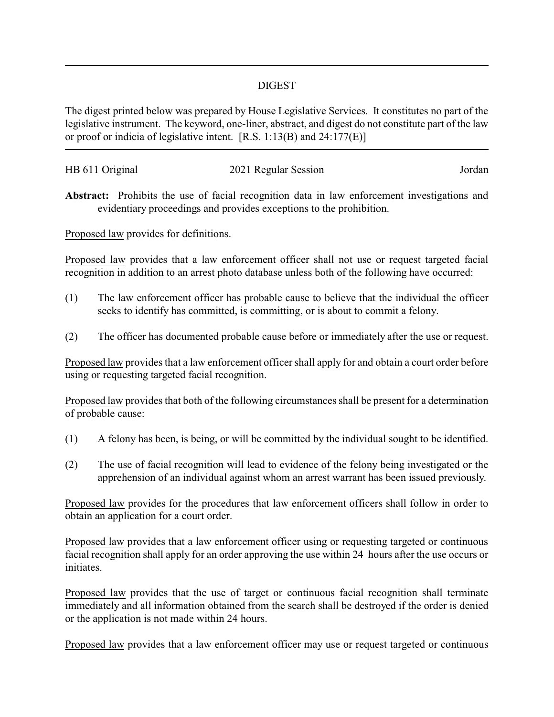## DIGEST

The digest printed below was prepared by House Legislative Services. It constitutes no part of the legislative instrument. The keyword, one-liner, abstract, and digest do not constitute part of the law or proof or indicia of legislative intent. [R.S. 1:13(B) and 24:177(E)]

| HB 611 Original | 2021 Regular Session | Jordan |
|-----------------|----------------------|--------|
|                 |                      |        |

**Abstract:** Prohibits the use of facial recognition data in law enforcement investigations and evidentiary proceedings and provides exceptions to the prohibition.

Proposed law provides for definitions.

Proposed law provides that a law enforcement officer shall not use or request targeted facial recognition in addition to an arrest photo database unless both of the following have occurred:

- (1) The law enforcement officer has probable cause to believe that the individual the officer seeks to identify has committed, is committing, or is about to commit a felony.
- (2) The officer has documented probable cause before or immediately after the use or request.

Proposed law provides that a law enforcement officer shall apply for and obtain a court order before using or requesting targeted facial recognition.

Proposed law provides that both of the following circumstances shall be present for a determination of probable cause:

- (1) A felony has been, is being, or will be committed by the individual sought to be identified.
- (2) The use of facial recognition will lead to evidence of the felony being investigated or the apprehension of an individual against whom an arrest warrant has been issued previously.

Proposed law provides for the procedures that law enforcement officers shall follow in order to obtain an application for a court order.

Proposed law provides that a law enforcement officer using or requesting targeted or continuous facial recognition shall apply for an order approving the use within 24 hours after the use occurs or initiates.

Proposed law provides that the use of target or continuous facial recognition shall terminate immediately and all information obtained from the search shall be destroyed if the order is denied or the application is not made within 24 hours.

Proposed law provides that a law enforcement officer may use or request targeted or continuous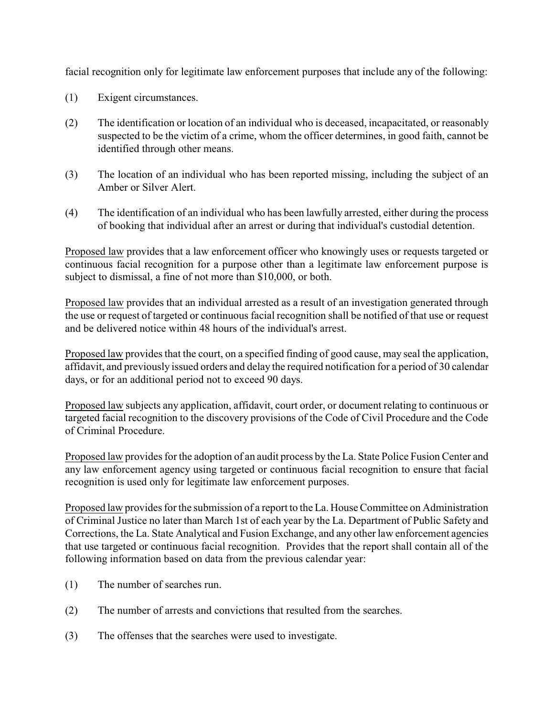facial recognition only for legitimate law enforcement purposes that include any of the following:

- (1) Exigent circumstances.
- (2) The identification or location of an individual who is deceased, incapacitated, or reasonably suspected to be the victim of a crime, whom the officer determines, in good faith, cannot be identified through other means.
- (3) The location of an individual who has been reported missing, including the subject of an Amber or Silver Alert.
- (4) The identification of an individual who has been lawfully arrested, either during the process of booking that individual after an arrest or during that individual's custodial detention.

Proposed law provides that a law enforcement officer who knowingly uses or requests targeted or continuous facial recognition for a purpose other than a legitimate law enforcement purpose is subject to dismissal, a fine of not more than \$10,000, or both.

Proposed law provides that an individual arrested as a result of an investigation generated through the use or request of targeted or continuous facial recognition shall be notified of that use or request and be delivered notice within 48 hours of the individual's arrest.

Proposed law provides that the court, on a specified finding of good cause, may seal the application, affidavit, and previously issued orders and delay the required notification for a period of 30 calendar days, or for an additional period not to exceed 90 days.

Proposed law subjects any application, affidavit, court order, or document relating to continuous or targeted facial recognition to the discovery provisions of the Code of Civil Procedure and the Code of Criminal Procedure.

Proposed law provides for the adoption of an audit process by the La. State Police Fusion Center and any law enforcement agency using targeted or continuous facial recognition to ensure that facial recognition is used only for legitimate law enforcement purposes.

Proposed law provides for the submission of a report to the La. House Committee on Administration of Criminal Justice no later than March 1st of each year by the La. Department of Public Safety and Corrections, the La. State Analytical and Fusion Exchange, and any other law enforcement agencies that use targeted or continuous facial recognition. Provides that the report shall contain all of the following information based on data from the previous calendar year:

- (1) The number of searches run.
- (2) The number of arrests and convictions that resulted from the searches.
- (3) The offenses that the searches were used to investigate.